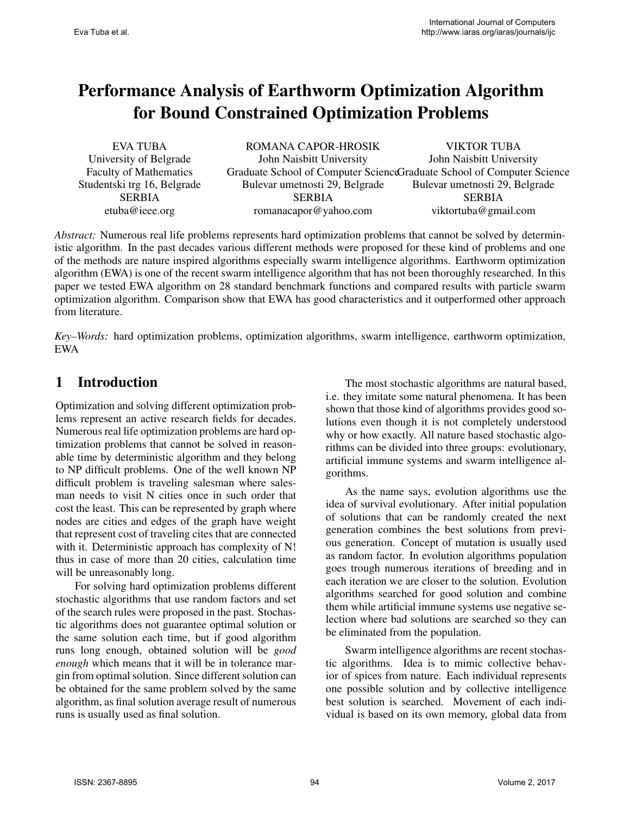# Performance Analysis of Earthworm Optimization Algorithm for Bound Constrained Optimization Problems

| EVA TUBA                      | ROMANA CAPOR-HROSIK                                                    | <b>VIKTOR TUBA</b>             |
|-------------------------------|------------------------------------------------------------------------|--------------------------------|
| University of Belgrade        | John Naisbitt University                                               | John Naisbitt University       |
| <b>Faculty of Mathematics</b> | Graduate School of Computer ScienceGraduate School of Computer Science |                                |
| Studentski trg 16, Belgrade   | Bulevar umetnosti 29, Belgrade                                         | Bulevar umetnosti 29, Belgrade |
| <b>SERBIA</b>                 | <b>SERBIA</b>                                                          | <b>SERBIA</b>                  |
| etuba@ieee.org                | romanacapor@yahoo.com                                                  | viktortuba@gmail.com           |

*Abstract:* Numerous real life problems represents hard optimization problems that cannot be solved by deterministic algorithm. In the past decades various different methods were proposed for these kind of problems and one of the methods are nature inspired algorithms especially swarm intelligence algorithms. Earthworm optimization algorithm (EWA) is one of the recent swarm intelligence algorithm that has not been thoroughly researched. In this paper we tested EWA algorithm on 28 standard benchmark functions and compared results with particle swarm optimization algorithm. Comparison show that EWA has good characteristics and it outperformed other approach from literature.

*Key–Words:* hard optimization problems, optimization algorithms, swarm intelligence, earthworm optimization, EWA

## 1 Introduction

Optimization and solving different optimization problems represent an active research fields for decades. Numerous real life optimization problems are hard optimization problems that cannot be solved in reasonable time by deterministic algorithm and they belong to NP difficult problems. One of the well known NP difficult problem is traveling salesman where salesman needs to visit N cities once in such order that cost the least. This can be represented by graph where nodes are cities and edges of the graph have weight that represent cost of traveling cites that are connected with it. Deterministic approach has complexity of N! thus in case of more than 20 cities, calculation time will be unreasonably long.

For solving hard optimization problems different stochastic algorithms that use random factors and set of the search rules were proposed in the past. Stochastic algorithms does not guarantee optimal solution or the same solution each time, but if good algorithm runs long enough, obtained solution will be *good enough* which means that it will be in tolerance margin from optimal solution. Since different solution can be obtained for the same problem solved by the same algorithm, as final solution average result of numerous runs is usually used as final solution.

The most stochastic algorithms are natural based, i.e. they imitate some natural phenomena. It has been shown that those kind of algorithms provides good solutions even though it is not completely understood why or how exactly. All nature based stochastic algorithms can be divided into three groups: evolutionary, artificial immune systems and swarm intelligence algorithms.

As the name says, evolution algorithms use the idea of survival evolutionary. After initial population of solutions that can be randomly created the next generation combines the best solutions from previous generation. Concept of mutation is usually used as random factor. In evolution algorithms population goes trough numerous iterations of breeding and in each iteration we are closer to the solution. Evolution algorithms searched for good solution and combine them while artificial immune systems use negative selection where bad solutions are searched so they can be eliminated from the population.

Swarm intelligence algorithms are recent stochastic algorithms. Idea is to mimic collective behavior of spices from nature. Each individual represents one possible solution and by collective intelligence best solution is searched. Movement of each individual is based on its own memory, global data from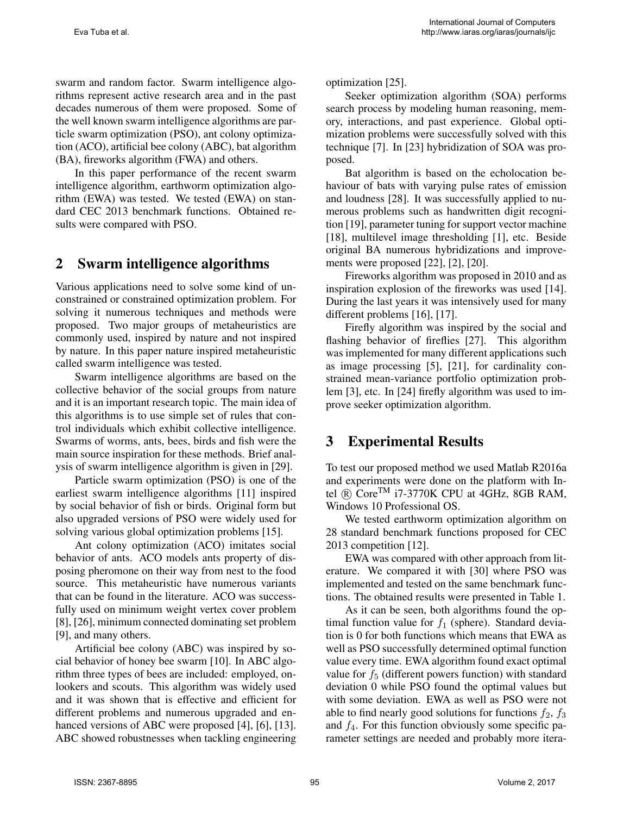swarm and random factor. Swarm intelligence algorithms represent active research area and in the past decades numerous of them were proposed. Some of the well known swarm intelligence algorithms are particle swarm optimization (PSO), ant colony optimization (ACO), artificial bee colony (ABC), bat algorithm (BA), fireworks algorithm (FWA) and others.

In this paper performance of the recent swarm intelligence algorithm, earthworm optimization algorithm (EWA) was tested. We tested (EWA) on standard CEC 2013 benchmark functions. Obtained results were compared with PSO.

### 2 Swarm intelligence algorithms

Various applications need to solve some kind of unconstrained or constrained optimization problem. For solving it numerous techniques and methods were proposed. Two major groups of metaheuristics are commonly used, inspired by nature and not inspired by nature. In this paper nature inspired metaheuristic called swarm intelligence was tested.

Swarm intelligence algorithms are based on the collective behavior of the social groups from nature and it is an important research topic. The main idea of this algorithms is to use simple set of rules that control individuals which exhibit collective intelligence. Swarms of worms, ants, bees, birds and fish were the main source inspiration for these methods. Brief analysis of swarm intelligence algorithm is given in [29].

Particle swarm optimization (PSO) is one of the earliest swarm intelligence algorithms [11] inspired by social behavior of fish or birds. Original form but also upgraded versions of PSO were widely used for solving various global optimization problems [15].

Ant colony optimization (ACO) imitates social behavior of ants. ACO models ants property of disposing pheromone on their way from nest to the food source. This metaheuristic have numerous variants that can be found in the literature. ACO was successfully used on minimum weight vertex cover problem [8], [26], minimum connected dominating set problem [9], and many others.

Artificial bee colony (ABC) was inspired by social behavior of honey bee swarm [10]. In ABC algorithm three types of bees are included: employed, onlookers and scouts. This algorithm was widely used and it was shown that is effective and efficient for different problems and numerous upgraded and enhanced versions of ABC were proposed [4], [6], [13]. ABC showed robustnesses when tackling engineering optimization [25].

Seeker optimization algorithm (SOA) performs search process by modeling human reasoning, memory, interactions, and past experience. Global optimization problems were successfully solved with this technique [7]. In [23] hybridization of SOA was proposed.

Bat algorithm is based on the echolocation behaviour of bats with varying pulse rates of emission and loudness [28]. It was successfully applied to numerous problems such as handwritten digit recognition [19], parameter tuning for support vector machine [18], multilevel image thresholding [1], etc. Beside original BA numerous hybridizations and improvements were proposed [22], [2], [20].

Fireworks algorithm was proposed in 2010 and as inspiration explosion of the fireworks was used [14]. During the last years it was intensively used for many different problems [16], [17].

Firefly algorithm was inspired by the social and flashing behavior of fireflies [27]. This algorithm was implemented for many different applications such as image processing [5], [21], for cardinality constrained mean-variance portfolio optimization problem [3], etc. In [24] firefly algorithm was used to improve seeker optimization algorithm.

#### 3 Experimental Results

To test our proposed method we used Matlab R2016a and experiments were done on the platform with Intel  $(R)$  Core<sup>TM</sup> i7-3770K CPU at 4GHz, 8GB RAM, Windows 10 Professional OS.

We tested earthworm optimization algorithm on 28 standard benchmark functions proposed for CEC 2013 competition [12].

EWA was compared with other approach from literature. We compared it with [30] where PSO was implemented and tested on the same benchmark functions. The obtained results were presented in Table 1.

As it can be seen, both algorithms found the optimal function value for  $f_1$  (sphere). Standard deviation is 0 for both functions which means that EWA as well as PSO successfully determined optimal function value every time. EWA algorithm found exact optimal value for  $f<sub>5</sub>$  (different powers function) with standard deviation 0 while PSO found the optimal values but with some deviation. EWA as well as PSO were not able to find nearly good solutions for functions  $f_2$ ,  $f_3$ and  $f_4$ . For this function obviously some specific parameter settings are needed and probably more itera-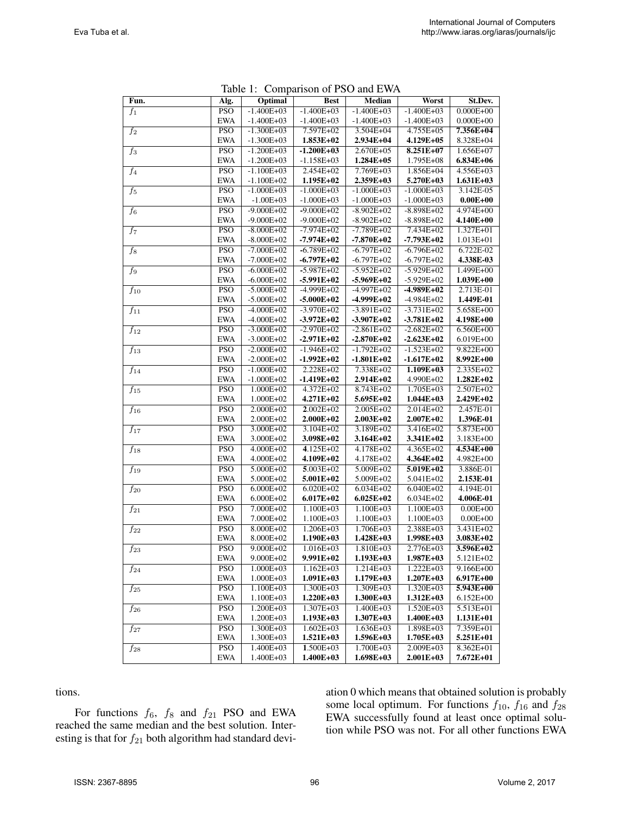|                     |                  | $1a$ Development of $130$ and $EWA$ |                |                |                |               |
|---------------------|------------------|-------------------------------------|----------------|----------------|----------------|---------------|
| Fun.                | Alg.             | Optimal                             | <b>Best</b>    | <b>Median</b>  | Worst          | St.Dev.       |
| $f_1$               | <b>PSO</b>       | $-1.400E + 03$                      | $-1.400E + 03$ | $-1.400E + 03$ | $-1.400E + 03$ | $0.000E + 00$ |
|                     | <b>EWA</b>       | $-1.400E + 03$                      | $-1.400E + 03$ | $-1.400E + 03$ | $-1.400E + 03$ | $0.000E + 00$ |
| $\overline{f_2}$    | $\overline{PSO}$ | $-1.300E + 03$                      | 7.597E+02      | $3.504E + 04$  | $4.755E + 05$  | 7.356E+04     |
|                     | <b>EWA</b>       | $-1.300E + 03$                      | 1.853E+02      | 2.934E+04      | 4.129E+05      | 8.328E+04     |
| $\overline{f_3}$    | <b>PSO</b>       | $-1.200E + 03$                      | $-1.200E+03$   | 2.670E+05      | 8.251E+07      | 1.656E+07     |
|                     | <b>EWA</b>       | $-1.200E + 03$                      | $-1.158E + 03$ | 1.284E+05      | 1.795E+08      | 6.834E+06     |
| $\overline{f_4}$    | <b>PSO</b>       | $-1.100E + 03$                      | $2.454E + 02$  | 7.769E+03      | 1.856E+04      | $4.556E + 03$ |
|                     | <b>EWA</b>       | $-1.100E + 02$                      | $1.195E+02$    | 2.359E+03      | 5.270E+03      | $1.631E+03$   |
| $f_5$               | <b>PSO</b>       | $-1.000E + 03$                      | $-1.000E + 03$ | $-1.000E + 03$ | $-1.000E + 03$ | 3.142E-05     |
|                     | <b>EWA</b>       | $-1.00E + 03$                       | $-1.000E + 03$ | $-1.000E + 03$ | $-1.000E + 03$ | $0.00E + 00$  |
| $\overline{f_6}$    | <b>PSO</b>       | $-9.000E + 02$                      | $-9.000E+02$   | $-8.902E+02$   | $-8.898E+02$   | 4.974E+00     |
|                     | <b>EWA</b>       | $-9.000E + 02$                      | $-9.000E + 02$ | $-8.902E+02$   | $-8.898E+02$   | 4.140E+00     |
| $f_7$               | <b>PSO</b>       | $-8.000E + 02$                      | $-7.974E + 02$ | $-7.789E + 02$ | $7.434E + 02$  | 1.327E+01     |
|                     | <b>EWA</b>       | $-8.000E + 02$                      | $-7.974E+02$   | $-7.870E + 02$ | $-7.793E+02$   | 1.013E+01     |
| $\overline{f_8}$    | <b>PSO</b>       | $-7.000E + 02$                      | $-6.789E+02$   | $-6.797E+02$   | $-6.796E + 02$ | 6.722E-02     |
|                     | <b>EWA</b>       | $-7.000E + 02$                      | $-6.797E+02$   | $-6.797E+02$   | $-6.797E + 02$ | 4.338E-03     |
| $\overline{f_9}$    | <b>PSO</b>       | $-6.000E + 02$                      | $-5.987E+02$   | $-5.952E+02$   | $-5.929E+02$   | $1.499E + 00$ |
|                     | <b>EWA</b>       | $-6.000E + 02$                      | $-5.991E+02$   | $-5.969E+02$   | $-5.929E + 02$ | 1.039E+00     |
| $f_{10}$            | <b>PSO</b>       | $-5.000E + 02$                      | $-4.999E+02$   | $-4.997E+02$   | $-4.989E+02$   | 2.713E-01     |
|                     | <b>EWA</b>       | $-5.000E + 02$                      | $-5.000E + 02$ | $-4.999E+02$   | $-4.984E+02$   | 1.449E-01     |
| $\overline{f_{11}}$ | $\overline{PSO}$ | $-4.000E + 02$                      | $-3.970E+02$   | $-3.891E+02$   | $-3.731E+02$   | $5.658E + 00$ |
|                     | <b>EWA</b>       | $-4.000E + 02$                      | $-3.972E+02$   | $-3.907E+02$   | $-3.781E+02$   | 4.198E+00     |
| $f_{12}$            | <b>PSO</b>       | $-3.000E + 02$                      | $-2.970E+02$   | $-2.861E+02$   | $-2.682E+02$   | 6.560E+00     |
|                     | <b>EWA</b>       | $-3.000E + 02$                      | $-2.971E+02$   | $-2.870E+02$   | $-2.623E+02$   | 6.019E+00     |
| $f_{13}$            | <b>PSO</b>       | $-2.000E + 02$                      | $-1.946E + 02$ | $-1.792E+02$   | $-1.523E+02$   | $9.822E + 00$ |
|                     | <b>EWA</b>       | $-2.000E + 02$                      | $-1.992E+02$   | $-1.801E+02$   | $-1.617E+02$   | 8.992E+00     |
| $f_{14}$            | <b>PSO</b>       | $-1.000E + 02$                      | 2.228E+02      | 7.338E+02      | $1.109E+03$    | 2.335E+02     |
|                     | <b>EWA</b>       | $-1.000E + 02$                      | $-1.419E+02$   | 2.914E+02      | 4.990E+02      | 1.282E+02     |
| $\overline{f_{15}}$ | <b>PSO</b>       | $1.000E + 02$                       | $4.372E + 02$  | 8.743E+02      | 1.705E+03      | $2.507E + 02$ |
|                     | <b>EWA</b>       | 1.000E+02                           | 4.271E+02      | 5.695E+02      | $1.044E + 03$  | 2.429E+02     |
| $f_{16}$            | <b>PSO</b>       | $2.000E + 02$                       | $2.002E + 02$  | $2.005E + 02$  | $2.014E + 02$  | 2.457E-01     |
|                     | <b>EWA</b>       | 2.000E+02                           | 2.000E+02      | $2.003E+02$    | 2.007E+02      | 1.396E-01     |
| $f_{17}$            | <b>PSO</b>       | 3.000E+02                           | $3.104E + 02$  | 3.189E+02      | $3.416E + 02$  | 5.873E+00     |
|                     | <b>EWA</b>       | 3.000E+02                           | 3.098E+02      | 3.164E+02      | 3.341E+02      | 3.183E+00     |
| $f_{18}$            | <b>PSO</b>       | 4.000E+02                           | $4.125E+02$    | 4.178E+02      | $4.365E+02$    | 4.534E+00     |
|                     | <b>EWA</b>       | 4.000E+02                           | 4.109E+02      | 4.178E+02      | 4.364E+02      | 4.982E+00     |
| $\overline{f_{19}}$ | <b>PSO</b>       | $5.000E + 02$                       | $5.003E + 02$  | $5.009E + 02$  | $5.019E + 02$  | 3.886E-01     |
|                     | <b>EWA</b>       | 5.000E+02                           | $5.001E + 02$  | 5.009E+02      | 5.041E+02      | 2.153E-01     |
| $f_{20}$            | PSO              | $6.000E + 02$                       | $6.020E + 02$  | $6.034E + 02$  | $6.040E + 02$  | 4.194E-01     |
|                     | <b>EWA</b>       | $6.000E + 02$                       | $6.017E + 02$  | $6.025E+02$    | $6.034E + 02$  | 4.006E-01     |
| $f_{21}$            | <b>PSO</b>       | 7.000E+02                           | 1.100E+03      | 1.100E+03      | $1.100E + 03$  | $0.00E + 00$  |
|                     | <b>EWA</b>       | 7.000E+02                           | 1.100E+03      | 1.100E+03      | 1.100E+03      | $0.00E + 00$  |
| $f_{22}$            | <b>PSO</b>       | 8.000E+02                           | $1.206E + 03$  | $1.706E + 03$  | $2.388E + 03$  | 3.431E+02     |
|                     | <b>EWA</b>       | 8.000E+02                           | $1.190E+03$    | 1.428E+03      | 1.998E+03      | 3.083E+02     |
| $f_{23}$            | <b>PSO</b>       | 9.000E+02                           | 1.016E+03      | 1.810E+03      | 2.776E+03      | 3.596E+02     |
|                     | <b>EWA</b>       | 9.000E+02                           | 9.991E+02      | $1.193E+03$    | 1.987E+03      | 5.121E+02     |
| $f_{24}$            | <b>PSO</b>       | $1.000E + 03$                       | $1.162E + 03$  | $1.214E + 03$  | $1.222E + 03$  | $9.166E + 00$ |
|                     | <b>EWA</b>       | 1.000E+03                           | $1.091E+03$    | 1.179E+03      | 1.207E+03      | $6.917E + 00$ |
| $f_{25}$            | <b>PSO</b>       | 1.100E+03                           | 1.300E+03      | $1.309E + 03$  | 1.320E+03      | 5.943E+00     |
|                     | EWA              | 1.100E+03                           | $1.220E+03$    | 1.300E+03      | $1.312E+03$    | 6.152E+00     |
| $\overline{f}_{26}$ | PSO              | $1.200E + 03$                       | $1.307E + 03$  | $1.400E + 03$  | $1.520E + 03$  | $5.513E + 01$ |
|                     | EWA              | 1.200E+03                           | $1.193E+03$    | $1.307E + 03$  | 1.400E+03      | 1.131E+01     |
| $f_{27}$            | <b>PSO</b>       | 1.300E+03                           | $1.602E + 03$  | 1.636E+03      | 1.898E+03      | 7.359E+01     |
|                     | EWA              | 1.300E+03                           | $1.521E+03$    | 1.596E+03      | 1.705E+03      | 5.251E+01     |
| $f_{28}$            | <b>PSO</b>       | $1.400E + 03$                       | $1.500E + 03$  | 1.700E+03      | 2.009E+03      | 8.362E+01     |
|                     | <b>EWA</b>       | 1.400E+03                           | $1.400E+03$    | $1.698E+03$    | $2.001E+03$    | 7.672E+01     |

Table 1: Comparison of PSO and EWA

tions.

For functions  $f_6$ ,  $f_8$  and  $f_{21}$  PSO and EWA reached the same median and the best solution. Interesting is that for  $f_{21}$  both algorithm had standard deviation 0 which means that obtained solution is probably some local optimum. For functions  $f_{10}$ ,  $f_{16}$  and  $f_{28}$ EWA successfully found at least once optimal solution while PSO was not. For all other functions EWA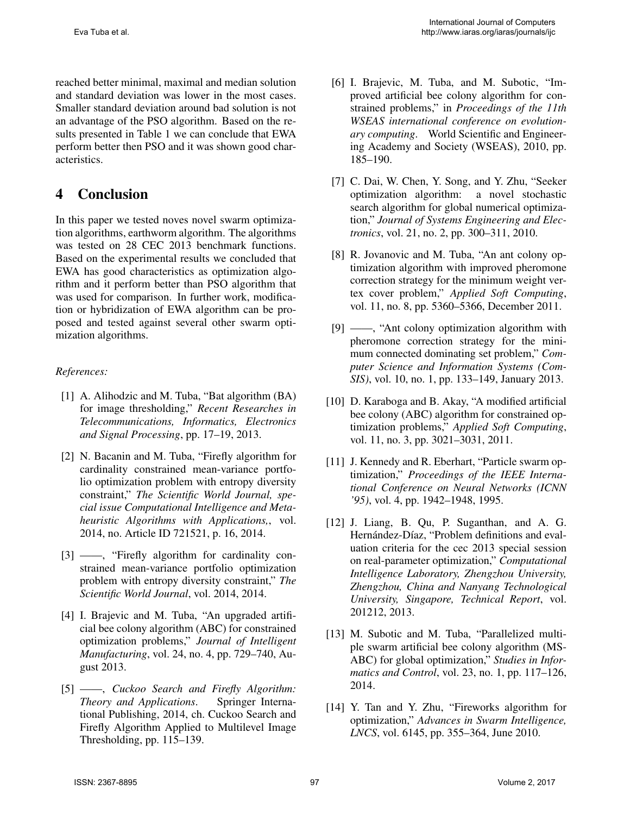reached better minimal, maximal and median solution and standard deviation was lower in the most cases. Smaller standard deviation around bad solution is not an advantage of the PSO algorithm. Based on the results presented in Table 1 we can conclude that EWA perform better then PSO and it was shown good characteristics.

# 4 Conclusion

In this paper we tested noves novel swarm optimization algorithms, earthworm algorithm. The algorithms was tested on 28 CEC 2013 benchmark functions. Based on the experimental results we concluded that EWA has good characteristics as optimization algorithm and it perform better than PSO algorithm that was used for comparison. In further work, modification or hybridization of EWA algorithm can be proposed and tested against several other swarm optimization algorithms.

#### *References:*

- [1] A. Alihodzic and M. Tuba, "Bat algorithm (BA) for image thresholding," *Recent Researches in Telecommunications, Informatics, Electronics and Signal Processing*, pp. 17–19, 2013.
- [2] N. Bacanin and M. Tuba, "Firefly algorithm for cardinality constrained mean-variance portfolio optimization problem with entropy diversity constraint," *The Scientific World Journal, special issue Computational Intelligence and Metaheuristic Algorithms with Applications,*, vol. 2014, no. Article ID 721521, p. 16, 2014.
- [3] ——, "Firefly algorithm for cardinality constrained mean-variance portfolio optimization problem with entropy diversity constraint," *The Scientific World Journal*, vol. 2014, 2014.
- [4] I. Brajevic and M. Tuba, "An upgraded artificial bee colony algorithm (ABC) for constrained optimization problems," *Journal of Intelligent Manufacturing*, vol. 24, no. 4, pp. 729–740, August 2013.
- [5] ——, *Cuckoo Search and Firefly Algorithm: Theory and Applications*. Springer International Publishing, 2014, ch. Cuckoo Search and Firefly Algorithm Applied to Multilevel Image Thresholding, pp. 115–139.
- [6] I. Brajevic, M. Tuba, and M. Subotic, "Improved artificial bee colony algorithm for constrained problems," in *Proceedings of the 11th WSEAS international conference on evolutionary computing*. World Scientific and Engineering Academy and Society (WSEAS), 2010, pp. 185–190.
- [7] C. Dai, W. Chen, Y. Song, and Y. Zhu, "Seeker optimization algorithm: a novel stochastic search algorithm for global numerical optimization," *Journal of Systems Engineering and Electronics*, vol. 21, no. 2, pp. 300–311, 2010.
- [8] R. Jovanovic and M. Tuba, "An ant colony optimization algorithm with improved pheromone correction strategy for the minimum weight vertex cover problem," *Applied Soft Computing*, vol. 11, no. 8, pp. 5360–5366, December 2011.
- [9] ——, "Ant colony optimization algorithm with pheromone correction strategy for the minimum connected dominating set problem," *Computer Science and Information Systems (Com-SIS)*, vol. 10, no. 1, pp. 133–149, January 2013.
- [10] D. Karaboga and B. Akay, "A modified artificial bee colony (ABC) algorithm for constrained optimization problems," *Applied Soft Computing*, vol. 11, no. 3, pp. 3021–3031, 2011.
- [11] J. Kennedy and R. Eberhart, "Particle swarm optimization," *Proceedings of the IEEE International Conference on Neural Networks (ICNN '95)*, vol. 4, pp. 1942–1948, 1995.
- [12] J. Liang, B. Qu, P. Suganthan, and A. G. Hernández-Díaz, "Problem definitions and evaluation criteria for the cec 2013 special session on real-parameter optimization," *Computational Intelligence Laboratory, Zhengzhou University, Zhengzhou, China and Nanyang Technological University, Singapore, Technical Report*, vol. 201212, 2013.
- [13] M. Subotic and M. Tuba, "Parallelized multiple swarm artificial bee colony algorithm (MS-ABC) for global optimization," *Studies in Informatics and Control*, vol. 23, no. 1, pp. 117–126, 2014.
- [14] Y. Tan and Y. Zhu, "Fireworks algorithm for optimization," *Advances in Swarm Intelligence, LNCS*, vol. 6145, pp. 355–364, June 2010.